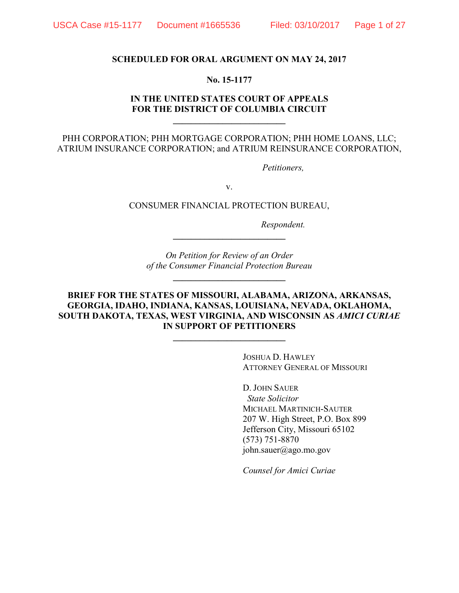#### **SCHEDULED FOR ORAL ARGUMENT ON MAY 24, 2017**

#### **No. 15-1177**

## **IN THE UNITED STATES COURT OF APPEALS FOR THE DISTRICT OF COLUMBIA CIRCUIT \_\_\_\_\_\_\_\_\_\_\_\_\_\_\_\_\_\_\_\_\_\_\_\_\_**

PHH CORPORATION; PHH MORTGAGE CORPORATION; PHH HOME LOANS, LLC; ATRIUM INSURANCE CORPORATION; and ATRIUM REINSURANCE CORPORATION,

*Petitioners,* 

v.

CONSUMER FINANCIAL PROTECTION BUREAU,

*Respondent.* 

*On Petition for Review of an Order of the Consumer Financial Protection Bureau*

**\_\_\_\_\_\_\_\_\_\_\_\_\_\_\_\_\_\_\_\_\_\_\_\_\_**

**\_\_\_\_\_\_\_\_\_\_\_\_\_\_\_\_\_\_\_\_\_\_\_\_\_** 

## **BRIEF FOR THE STATES OF MISSOURI, ALABAMA, ARIZONA, ARKANSAS, GEORGIA, IDAHO, INDIANA, KANSAS, LOUISIANA, NEVADA, OKLAHOMA, SOUTH DAKOTA, TEXAS, WEST VIRGINIA, AND WISCONSIN AS** *AMICI CURIAE* **IN SUPPORT OF PETITIONERS**

**\_\_\_\_\_\_\_\_\_\_\_\_\_\_\_\_\_\_\_\_\_\_\_\_\_**

 JOSHUA D. HAWLEY ATTORNEY GENERAL OF MISSOURI

D. JOHN SAUER *State Solicitor* MICHAEL MARTINICH-SAUTER 207 W. High Street, P.O. Box 899 Jefferson City, Missouri 65102 (573) 751-8870 john.sauer@ago.mo.gov

*Counsel for Amici Curiae*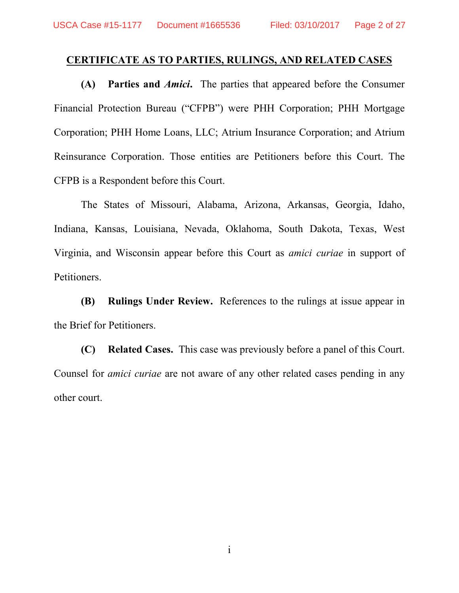# **CERTIFICATE AS TO PARTIES, RULINGS, AND RELATED CASES**

**(A) Parties and** *Amici***.** The parties that appeared before the Consumer Financial Protection Bureau ("CFPB") were PHH Corporation; PHH Mortgage Corporation; PHH Home Loans, LLC; Atrium Insurance Corporation; and Atrium Reinsurance Corporation. Those entities are Petitioners before this Court. The CFPB is a Respondent before this Court.

The States of Missouri, Alabama, Arizona, Arkansas, Georgia, Idaho, Indiana, Kansas, Louisiana, Nevada, Oklahoma, South Dakota, Texas, West Virginia, and Wisconsin appear before this Court as *amici curiae* in support of Petitioners.

**(B) Rulings Under Review.** References to the rulings at issue appear in the Brief for Petitioners.

**(C) Related Cases.** This case was previously before a panel of this Court. Counsel for *amici curiae* are not aware of any other related cases pending in any other court.

i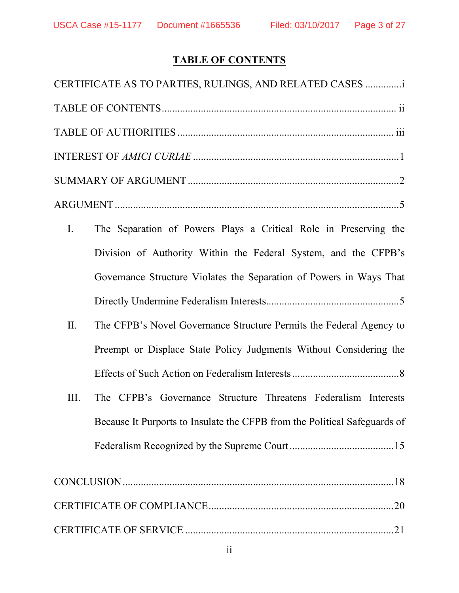# **TABLE OF CONTENTS**

|             | CERTIFICATE AS TO PARTIES, RULINGS, AND RELATED CASES                     |
|-------------|---------------------------------------------------------------------------|
|             |                                                                           |
|             |                                                                           |
|             |                                                                           |
|             |                                                                           |
|             |                                                                           |
| $I_{\cdot}$ | The Separation of Powers Plays a Critical Role in Preserving the          |
|             | Division of Authority Within the Federal System, and the CFPB's           |
|             | Governance Structure Violates the Separation of Powers in Ways That       |
|             |                                                                           |
| II.         | The CFPB's Novel Governance Structure Permits the Federal Agency to       |
|             | Preempt or Displace State Policy Judgments Without Considering the        |
|             |                                                                           |
| III.        | The CFPB's Governance Structure Threatens Federalism Interests            |
|             | Because It Purports to Insulate the CFPB from the Political Safeguards of |
|             |                                                                           |
|             |                                                                           |
|             |                                                                           |
|             |                                                                           |
|             |                                                                           |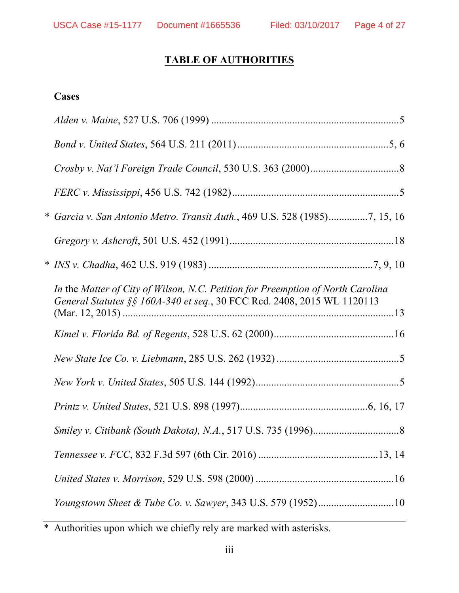# **TABLE OF AUTHORITIES**

# **Cases**

| * Garcia v. San Antonio Metro. Transit Auth., 469 U.S. 528 (1985)7, 15, 16                                                                                 |  |
|------------------------------------------------------------------------------------------------------------------------------------------------------------|--|
|                                                                                                                                                            |  |
|                                                                                                                                                            |  |
| In the Matter of City of Wilson, N.C. Petition for Preemption of North Carolina<br>General Statutes §§ 160A-340 et seq., 30 FCC Rcd. 2408, 2015 WL 1120113 |  |
|                                                                                                                                                            |  |
|                                                                                                                                                            |  |
|                                                                                                                                                            |  |
|                                                                                                                                                            |  |
|                                                                                                                                                            |  |
|                                                                                                                                                            |  |
|                                                                                                                                                            |  |
| Youngstown Sheet & Tube Co. v. Sawyer, 343 U.S. 579 (1952)10                                                                                               |  |

\* Authorities upon which we chiefly rely are marked with asterisks.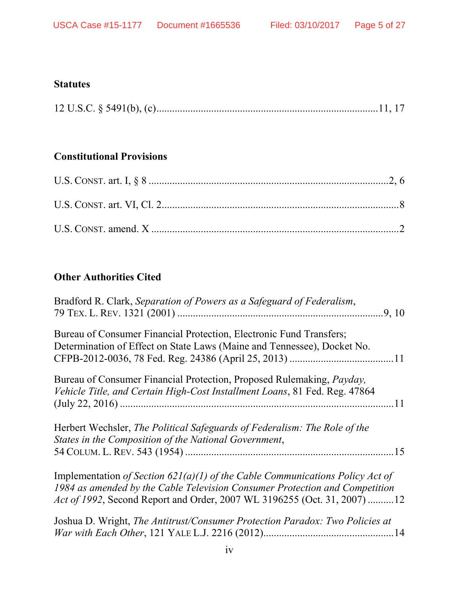# **Statutes**

|--|--|--|--|

# **Constitutional Provisions**

# **Other Authorities Cited**

| Bradford R. Clark, Separation of Powers as a Safeguard of Federalism,                                                                                                                                                                    |
|------------------------------------------------------------------------------------------------------------------------------------------------------------------------------------------------------------------------------------------|
| Bureau of Consumer Financial Protection, Electronic Fund Transfers;<br>Determination of Effect on State Laws (Maine and Tennessee), Docket No.                                                                                           |
| Bureau of Consumer Financial Protection, Proposed Rulemaking, <i>Payday</i> ,<br>Vehicle Title, and Certain High-Cost Installment Loans, 81 Fed. Reg. 47864                                                                              |
| Herbert Wechsler, The Political Safeguards of Federalism: The Role of the<br>States in the Composition of the National Government,                                                                                                       |
| Implementation of Section 621(a)(1) of the Cable Communications Policy Act of<br>1984 as amended by the Cable Television Consumer Protection and Competition<br>Act of 1992, Second Report and Order, 2007 WL 3196255 (Oct. 31, 2007) 12 |
| Joshua D. Wright, The Antitrust/Consumer Protection Paradox: Two Policies at                                                                                                                                                             |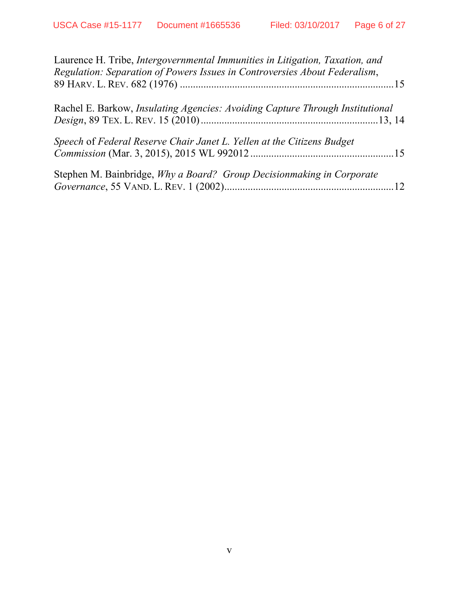| Laurence H. Tribe, <i>Intergovernmental Immunities in Litigation</i> , <i>Taxation</i> , <i>and</i><br>Regulation: Separation of Powers Issues in Controversies About Federalism, |  |
|-----------------------------------------------------------------------------------------------------------------------------------------------------------------------------------|--|
| Rachel E. Barkow, <i>Insulating Agencies: Avoiding Capture Through Institutional</i>                                                                                              |  |
| Speech of Federal Reserve Chair Janet L. Yellen at the Citizens Budget                                                                                                            |  |
| Stephen M. Bainbridge, Why a Board? Group Decision making in Corporate                                                                                                            |  |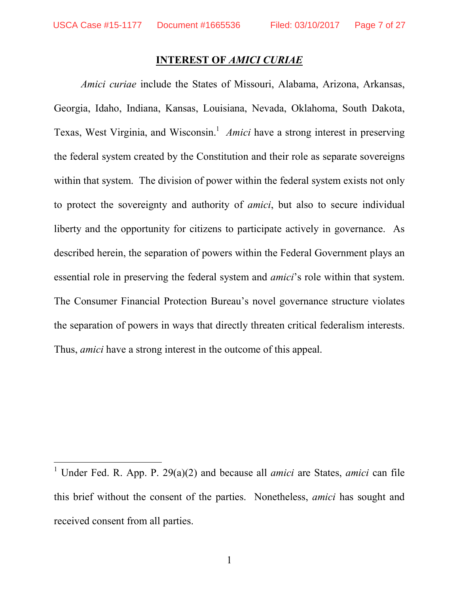$\overline{\phantom{a}}$ 

## **INTEREST OF** *AMICI CURIAE*

*Amici curiae* include the States of Missouri, Alabama, Arizona, Arkansas, Georgia, Idaho, Indiana, Kansas, Louisiana, Nevada, Oklahoma, South Dakota, Texas, West Virginia, and Wisconsin.<sup>1</sup> Amici have a strong interest in preserving the federal system created by the Constitution and their role as separate sovereigns within that system. The division of power within the federal system exists not only to protect the sovereignty and authority of *amici*, but also to secure individual liberty and the opportunity for citizens to participate actively in governance. As described herein, the separation of powers within the Federal Government plays an essential role in preserving the federal system and *amici*'s role within that system. The Consumer Financial Protection Bureau's novel governance structure violates the separation of powers in ways that directly threaten critical federalism interests. Thus, *amici* have a strong interest in the outcome of this appeal.

<sup>&</sup>lt;sup>1</sup> Under Fed. R. App. P. 29(a)(2) and because all *amici* are States, *amici* can file this brief without the consent of the parties. Nonetheless, *amici* has sought and received consent from all parties.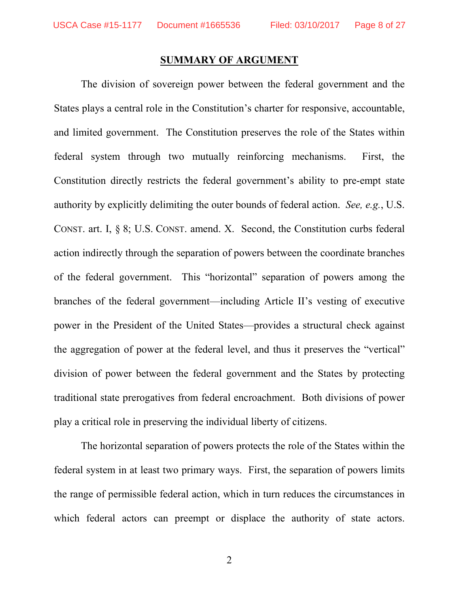### **SUMMARY OF ARGUMENT**

 The division of sovereign power between the federal government and the States plays a central role in the Constitution's charter for responsive, accountable, and limited government. The Constitution preserves the role of the States within federal system through two mutually reinforcing mechanisms. First, the Constitution directly restricts the federal government's ability to pre-empt state authority by explicitly delimiting the outer bounds of federal action. *See, e.g.*, U.S. CONST. art. I, § 8; U.S. CONST. amend. X. Second, the Constitution curbs federal action indirectly through the separation of powers between the coordinate branches of the federal government. This "horizontal" separation of powers among the branches of the federal government—including Article II's vesting of executive power in the President of the United States—provides a structural check against the aggregation of power at the federal level, and thus it preserves the "vertical" division of power between the federal government and the States by protecting traditional state prerogatives from federal encroachment. Both divisions of power play a critical role in preserving the individual liberty of citizens.

The horizontal separation of powers protects the role of the States within the federal system in at least two primary ways. First, the separation of powers limits the range of permissible federal action, which in turn reduces the circumstances in which federal actors can preempt or displace the authority of state actors.

2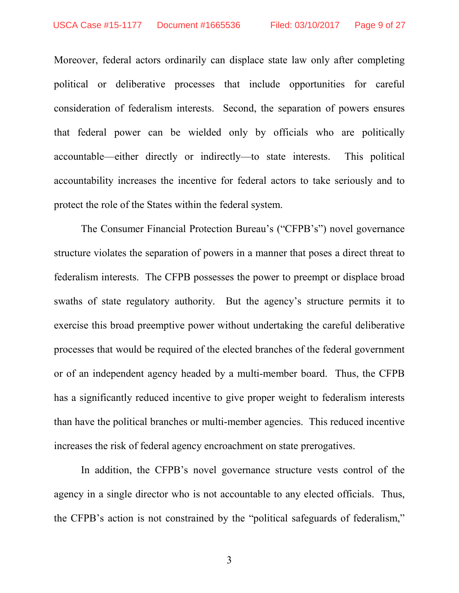Moreover, federal actors ordinarily can displace state law only after completing political or deliberative processes that include opportunities for careful consideration of federalism interests. Second, the separation of powers ensures that federal power can be wielded only by officials who are politically accountable—either directly or indirectly—to state interests. This political accountability increases the incentive for federal actors to take seriously and to protect the role of the States within the federal system.

 The Consumer Financial Protection Bureau's ("CFPB's") novel governance structure violates the separation of powers in a manner that poses a direct threat to federalism interests. The CFPB possesses the power to preempt or displace broad swaths of state regulatory authority. But the agency's structure permits it to exercise this broad preemptive power without undertaking the careful deliberative processes that would be required of the elected branches of the federal government or of an independent agency headed by a multi-member board. Thus, the CFPB has a significantly reduced incentive to give proper weight to federalism interests than have the political branches or multi-member agencies. This reduced incentive increases the risk of federal agency encroachment on state prerogatives.

In addition, the CFPB's novel governance structure vests control of the agency in a single director who is not accountable to any elected officials. Thus, the CFPB's action is not constrained by the "political safeguards of federalism,"

3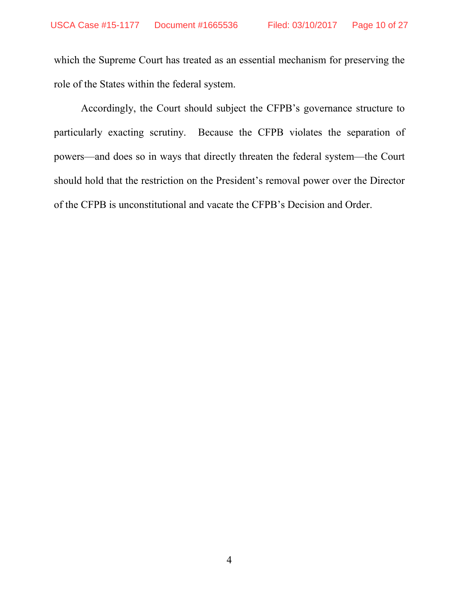which the Supreme Court has treated as an essential mechanism for preserving the role of the States within the federal system.

 Accordingly, the Court should subject the CFPB's governance structure to particularly exacting scrutiny. Because the CFPB violates the separation of powers—and does so in ways that directly threaten the federal system—the Court should hold that the restriction on the President's removal power over the Director of the CFPB is unconstitutional and vacate the CFPB's Decision and Order.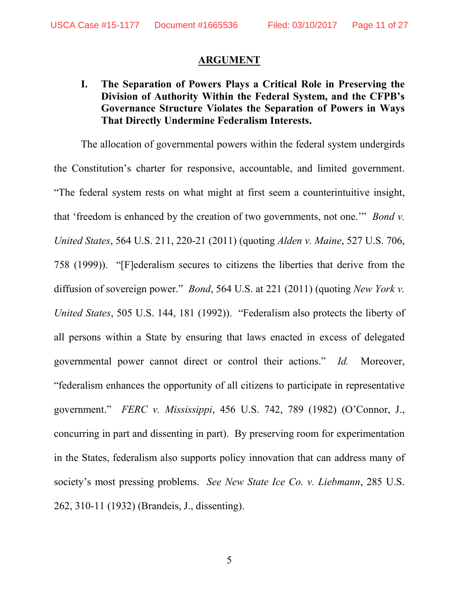## **ARGUMENT**

**I. The Separation of Powers Plays a Critical Role in Preserving the Division of Authority Within the Federal System, and the CFPB's Governance Structure Violates the Separation of Powers in Ways That Directly Undermine Federalism Interests.** 

 The allocation of governmental powers within the federal system undergirds the Constitution's charter for responsive, accountable, and limited government. "The federal system rests on what might at first seem a counterintuitive insight, that 'freedom is enhanced by the creation of two governments, not one.'" *Bond v. United States*, 564 U.S. 211, 220-21 (2011) (quoting *Alden v. Maine*, 527 U.S. 706, 758 (1999)). "[F]ederalism secures to citizens the liberties that derive from the diffusion of sovereign power." *Bond*, 564 U.S. at 221 (2011) (quoting *New York v. United States*, 505 U.S. 144, 181 (1992)). "Federalism also protects the liberty of all persons within a State by ensuring that laws enacted in excess of delegated governmental power cannot direct or control their actions." *Id.* Moreover, "federalism enhances the opportunity of all citizens to participate in representative government." *FERC v. Mississippi*, 456 U.S. 742, 789 (1982) (O'Connor, J., concurring in part and dissenting in part). By preserving room for experimentation in the States, federalism also supports policy innovation that can address many of society's most pressing problems. *See New State Ice Co. v. Liebmann*, 285 U.S. 262, 310-11 (1932) (Brandeis, J., dissenting).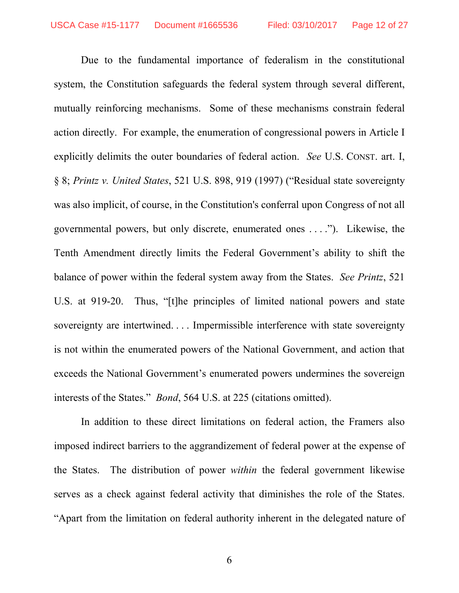Due to the fundamental importance of federalism in the constitutional system, the Constitution safeguards the federal system through several different, mutually reinforcing mechanisms. Some of these mechanisms constrain federal action directly. For example, the enumeration of congressional powers in Article I explicitly delimits the outer boundaries of federal action. *See* U.S. CONST. art. I, § 8; *Printz v. United States*, 521 U.S. 898, 919 (1997) ("Residual state sovereignty was also implicit, of course, in the Constitution's conferral upon Congress of not all governmental powers, but only discrete, enumerated ones . . . ."). Likewise, the Tenth Amendment directly limits the Federal Government's ability to shift the balance of power within the federal system away from the States. *See Printz*, 521 U.S. at 919-20. Thus, "[t]he principles of limited national powers and state sovereignty are intertwined. . . . Impermissible interference with state sovereignty is not within the enumerated powers of the National Government, and action that exceeds the National Government's enumerated powers undermines the sovereign interests of the States." *Bond*, 564 U.S. at 225 (citations omitted).

In addition to these direct limitations on federal action, the Framers also imposed indirect barriers to the aggrandizement of federal power at the expense of the States. The distribution of power *within* the federal government likewise serves as a check against federal activity that diminishes the role of the States. "Apart from the limitation on federal authority inherent in the delegated nature of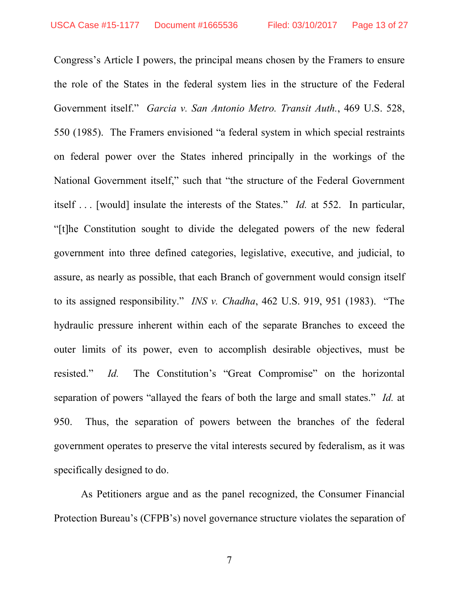Congress's Article I powers, the principal means chosen by the Framers to ensure the role of the States in the federal system lies in the structure of the Federal Government itself." *Garcia v. San Antonio Metro. Transit Auth.*, 469 U.S. 528, 550 (1985). The Framers envisioned "a federal system in which special restraints on federal power over the States inhered principally in the workings of the National Government itself," such that "the structure of the Federal Government itself . . . [would] insulate the interests of the States." *Id.* at 552. In particular, "[t]he Constitution sought to divide the delegated powers of the new federal government into three defined categories, legislative, executive, and judicial, to assure, as nearly as possible, that each Branch of government would consign itself to its assigned responsibility." *INS v. Chadha*, 462 U.S. 919, 951 (1983). "The hydraulic pressure inherent within each of the separate Branches to exceed the outer limits of its power, even to accomplish desirable objectives, must be resisted." *Id.* The Constitution's "Great Compromise" on the horizontal separation of powers "allayed the fears of both the large and small states." *Id.* at 950. Thus, the separation of powers between the branches of the federal government operates to preserve the vital interests secured by federalism, as it was specifically designed to do.

As Petitioners argue and as the panel recognized, the Consumer Financial Protection Bureau's (CFPB's) novel governance structure violates the separation of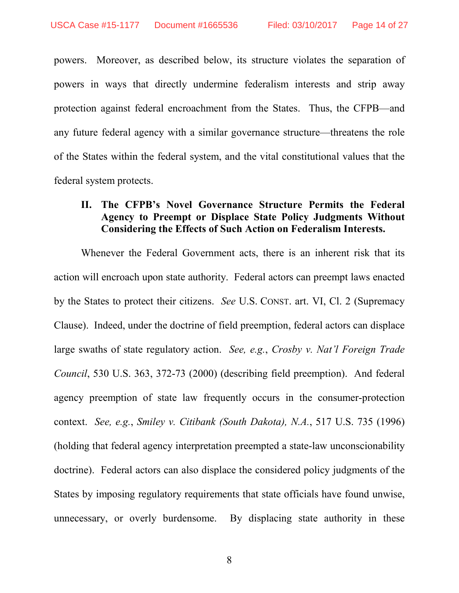powers. Moreover, as described below, its structure violates the separation of powers in ways that directly undermine federalism interests and strip away protection against federal encroachment from the States. Thus, the CFPB—and any future federal agency with a similar governance structure—threatens the role of the States within the federal system, and the vital constitutional values that the federal system protects.

# **II. The CFPB's Novel Governance Structure Permits the Federal Agency to Preempt or Displace State Policy Judgments Without Considering the Effects of Such Action on Federalism Interests.**

 Whenever the Federal Government acts, there is an inherent risk that its action will encroach upon state authority. Federal actors can preempt laws enacted by the States to protect their citizens. *See* U.S. CONST. art. VI, Cl. 2 (Supremacy Clause). Indeed, under the doctrine of field preemption, federal actors can displace large swaths of state regulatory action. *See, e.g.*, *Crosby v. Nat'l Foreign Trade Council*, 530 U.S. 363, 372-73 (2000) (describing field preemption). And federal agency preemption of state law frequently occurs in the consumer-protection context. *See, e.g.*, *Smiley v. Citibank (South Dakota), N.A.*, 517 U.S. 735 (1996) (holding that federal agency interpretation preempted a state-law unconscionability doctrine). Federal actors can also displace the considered policy judgments of the States by imposing regulatory requirements that state officials have found unwise, unnecessary, or overly burdensome. By displacing state authority in these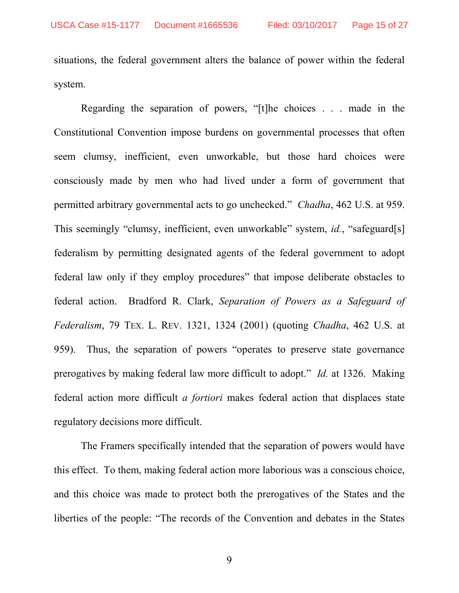situations, the federal government alters the balance of power within the federal system.

Regarding the separation of powers, "[t]he choices . . . made in the Constitutional Convention impose burdens on governmental processes that often seem clumsy, inefficient, even unworkable, but those hard choices were consciously made by men who had lived under a form of government that permitted arbitrary governmental acts to go unchecked." *Chadha*, 462 U.S. at 959. This seemingly "clumsy, inefficient, even unworkable" system, *id.*, "safeguard[s] federalism by permitting designated agents of the federal government to adopt federal law only if they employ procedures" that impose deliberate obstacles to federal action. Bradford R. Clark, *Separation of Powers as a Safeguard of Federalism*, 79 TEX. L. REV. 1321, 1324 (2001) (quoting *Chadha*, 462 U.S. at 959). Thus, the separation of powers "operates to preserve state governance prerogatives by making federal law more difficult to adopt." *Id.* at 1326. Making federal action more difficult *a fortiori* makes federal action that displaces state regulatory decisions more difficult.

The Framers specifically intended that the separation of powers would have this effect. To them, making federal action more laborious was a conscious choice, and this choice was made to protect both the prerogatives of the States and the liberties of the people: "The records of the Convention and debates in the States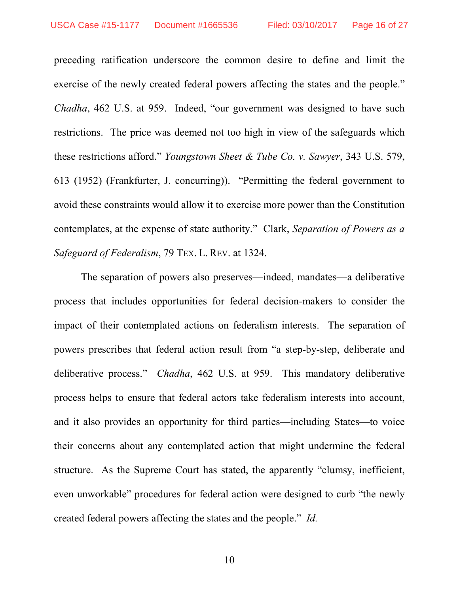preceding ratification underscore the common desire to define and limit the exercise of the newly created federal powers affecting the states and the people." *Chadha*, 462 U.S. at 959. Indeed, "our government was designed to have such restrictions. The price was deemed not too high in view of the safeguards which these restrictions afford." *Youngstown Sheet & Tube Co. v. Sawyer*, 343 U.S. 579, 613 (1952) (Frankfurter, J. concurring)). "Permitting the federal government to avoid these constraints would allow it to exercise more power than the Constitution contemplates, at the expense of state authority." Clark, *Separation of Powers as a Safeguard of Federalism*, 79 TEX. L. REV. at 1324.

 The separation of powers also preserves—indeed, mandates—a deliberative process that includes opportunities for federal decision-makers to consider the impact of their contemplated actions on federalism interests. The separation of powers prescribes that federal action result from "a step-by-step, deliberate and deliberative process." *Chadha*, 462 U.S. at 959. This mandatory deliberative process helps to ensure that federal actors take federalism interests into account, and it also provides an opportunity for third parties—including States—to voice their concerns about any contemplated action that might undermine the federal structure. As the Supreme Court has stated, the apparently "clumsy, inefficient, even unworkable" procedures for federal action were designed to curb "the newly created federal powers affecting the states and the people." *Id.*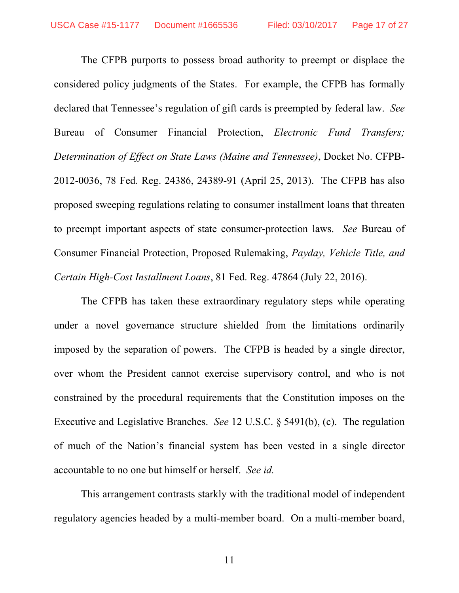The CFPB purports to possess broad authority to preempt or displace the considered policy judgments of the States. For example, the CFPB has formally declared that Tennessee's regulation of gift cards is preempted by federal law. *See* Bureau of Consumer Financial Protection, *Electronic Fund Transfers; Determination of Effect on State Laws (Maine and Tennessee)*, Docket No. CFPB-2012-0036, 78 Fed. Reg. 24386, 24389-91 (April 25, 2013). The CFPB has also proposed sweeping regulations relating to consumer installment loans that threaten to preempt important aspects of state consumer-protection laws. *See* Bureau of Consumer Financial Protection, Proposed Rulemaking, *Payday, Vehicle Title, and Certain High-Cost Installment Loans*, 81 Fed. Reg. 47864 (July 22, 2016).

 The CFPB has taken these extraordinary regulatory steps while operating under a novel governance structure shielded from the limitations ordinarily imposed by the separation of powers. The CFPB is headed by a single director, over whom the President cannot exercise supervisory control, and who is not constrained by the procedural requirements that the Constitution imposes on the Executive and Legislative Branches. *See* 12 U.S.C. § 5491(b), (c). The regulation of much of the Nation's financial system has been vested in a single director accountable to no one but himself or herself. *See id.*

 This arrangement contrasts starkly with the traditional model of independent regulatory agencies headed by a multi-member board. On a multi-member board,

11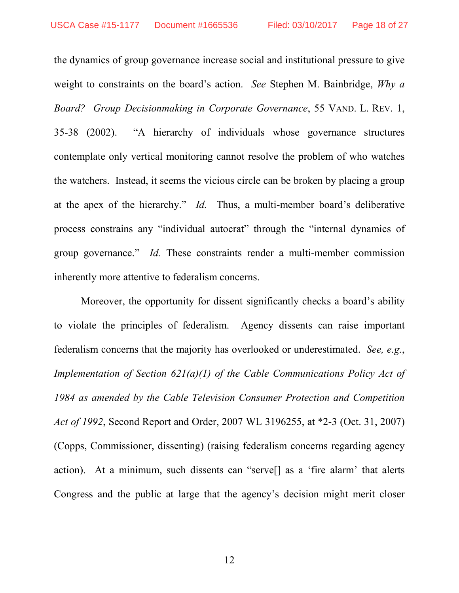the dynamics of group governance increase social and institutional pressure to give weight to constraints on the board's action. *See* Stephen M. Bainbridge, *Why a Board? Group Decisionmaking in Corporate Governance*, 55 VAND. L. REV. 1, 35-38 (2002). "A hierarchy of individuals whose governance structures contemplate only vertical monitoring cannot resolve the problem of who watches the watchers. Instead, it seems the vicious circle can be broken by placing a group at the apex of the hierarchy." *Id.* Thus, a multi-member board's deliberative process constrains any "individual autocrat" through the "internal dynamics of group governance." *Id.* These constraints render a multi-member commission inherently more attentive to federalism concerns.

Moreover, the opportunity for dissent significantly checks a board's ability to violate the principles of federalism. Agency dissents can raise important federalism concerns that the majority has overlooked or underestimated. *See, e.g.*, *Implementation of Section 621(a)(1) of the Cable Communications Policy Act of 1984 as amended by the Cable Television Consumer Protection and Competition Act of 1992*, Second Report and Order, 2007 WL 3196255, at \*2-3 (Oct. 31, 2007) (Copps, Commissioner, dissenting) (raising federalism concerns regarding agency action). At a minimum, such dissents can "serve[] as a 'fire alarm' that alerts Congress and the public at large that the agency's decision might merit closer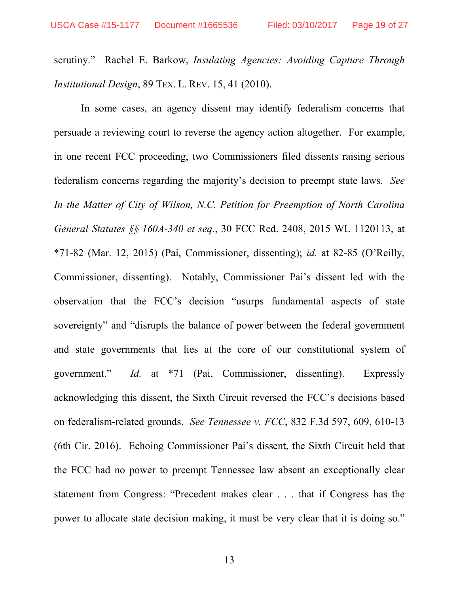scrutiny." Rachel E. Barkow, *Insulating Agencies: Avoiding Capture Through Institutional Design*, 89 TEX. L. REV. 15, 41 (2010).

In some cases, an agency dissent may identify federalism concerns that persuade a reviewing court to reverse the agency action altogether. For example, in one recent FCC proceeding, two Commissioners filed dissents raising serious federalism concerns regarding the majority's decision to preempt state laws. *See In the Matter of City of Wilson, N.C. Petition for Preemption of North Carolina General Statutes §§ 160A-340 et seq.*, 30 FCC Rcd. 2408, 2015 WL 1120113, at \*71-82 (Mar. 12, 2015) (Pai, Commissioner, dissenting); *id.* at 82-85 (O'Reilly, Commissioner, dissenting). Notably, Commissioner Pai's dissent led with the observation that the FCC's decision "usurps fundamental aspects of state sovereignty" and "disrupts the balance of power between the federal government and state governments that lies at the core of our constitutional system of government." *Id.* at \*71 (Pai, Commissioner, dissenting). Expressly acknowledging this dissent, the Sixth Circuit reversed the FCC's decisions based on federalism-related grounds. *See Tennessee v. FCC*, 832 F.3d 597, 609, 610-13 (6th Cir. 2016). Echoing Commissioner Pai's dissent, the Sixth Circuit held that the FCC had no power to preempt Tennessee law absent an exceptionally clear statement from Congress: "Precedent makes clear . . . that if Congress has the power to allocate state decision making, it must be very clear that it is doing so."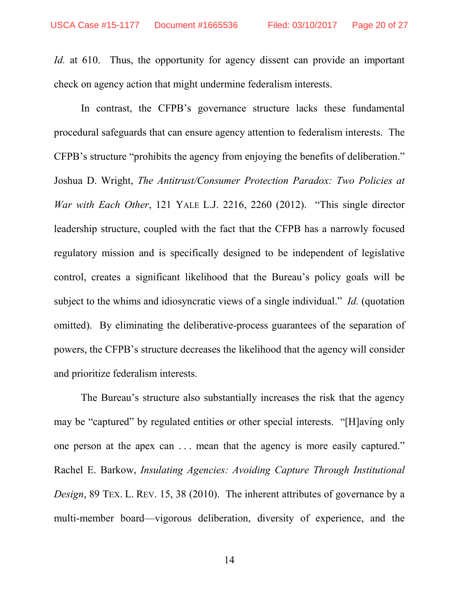*Id.* at 610. Thus, the opportunity for agency dissent can provide an important check on agency action that might undermine federalism interests.

In contrast, the CFPB's governance structure lacks these fundamental procedural safeguards that can ensure agency attention to federalism interests. The CFPB's structure "prohibits the agency from enjoying the benefits of deliberation." Joshua D. Wright, *The Antitrust/Consumer Protection Paradox: Two Policies at War with Each Other*, 121 YALE L.J. 2216, 2260 (2012). "This single director leadership structure, coupled with the fact that the CFPB has a narrowly focused regulatory mission and is specifically designed to be independent of legislative control, creates a significant likelihood that the Bureau's policy goals will be subject to the whims and idiosyncratic views of a single individual." *Id.* (quotation omitted). By eliminating the deliberative-process guarantees of the separation of powers, the CFPB's structure decreases the likelihood that the agency will consider and prioritize federalism interests.

The Bureau's structure also substantially increases the risk that the agency may be "captured" by regulated entities or other special interests. "[H]aving only one person at the apex can . . . mean that the agency is more easily captured." Rachel E. Barkow, *Insulating Agencies: Avoiding Capture Through Institutional Design*, 89 TEX. L. REV. 15, 38 (2010). The inherent attributes of governance by a multi-member board—vigorous deliberation, diversity of experience, and the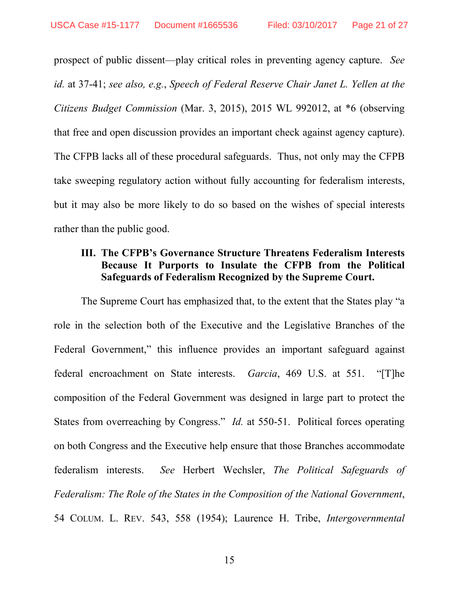prospect of public dissent—play critical roles in preventing agency capture. *See id.* at 37-41; *see also, e.g.*, *Speech of Federal Reserve Chair Janet L. Yellen at the Citizens Budget Commission* (Mar. 3, 2015), 2015 WL 992012, at \*6 (observing that free and open discussion provides an important check against agency capture). The CFPB lacks all of these procedural safeguards. Thus, not only may the CFPB take sweeping regulatory action without fully accounting for federalism interests, but it may also be more likely to do so based on the wishes of special interests rather than the public good.

# **III. The CFPB's Governance Structure Threatens Federalism Interests Because It Purports to Insulate the CFPB from the Political Safeguards of Federalism Recognized by the Supreme Court.**

The Supreme Court has emphasized that, to the extent that the States play "a role in the selection both of the Executive and the Legislative Branches of the Federal Government," this influence provides an important safeguard against federal encroachment on State interests. *Garcia*, 469 U.S. at 551. "[T]he composition of the Federal Government was designed in large part to protect the States from overreaching by Congress." *Id.* at 550-51. Political forces operating on both Congress and the Executive help ensure that those Branches accommodate federalism interests. *See* Herbert Wechsler, *The Political Safeguards of Federalism: The Role of the States in the Composition of the National Government*, 54 COLUM. L. REV. 543, 558 (1954); Laurence H. Tribe, *Intergovernmental*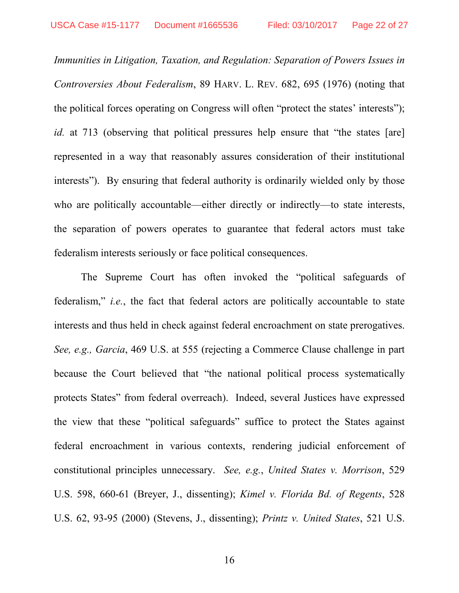*Immunities in Litigation, Taxation, and Regulation: Separation of Powers Issues in Controversies About Federalism*, 89 HARV. L. REV. 682, 695 (1976) (noting that the political forces operating on Congress will often "protect the states' interests"); *id.* at 713 (observing that political pressures help ensure that "the states [are] represented in a way that reasonably assures consideration of their institutional interests"). By ensuring that federal authority is ordinarily wielded only by those who are politically accountable—either directly or indirectly—to state interests, the separation of powers operates to guarantee that federal actors must take federalism interests seriously or face political consequences.

The Supreme Court has often invoked the "political safeguards of federalism," *i.e.*, the fact that federal actors are politically accountable to state interests and thus held in check against federal encroachment on state prerogatives. *See, e.g., Garcia*, 469 U.S. at 555 (rejecting a Commerce Clause challenge in part because the Court believed that "the national political process systematically protects States" from federal overreach). Indeed, several Justices have expressed the view that these "political safeguards" suffice to protect the States against federal encroachment in various contexts, rendering judicial enforcement of constitutional principles unnecessary. *See, e.g.*, *United States v. Morrison*, 529 U.S. 598, 660-61 (Breyer, J., dissenting); *Kimel v. Florida Bd. of Regents*, 528 U.S. 62, 93-95 (2000) (Stevens, J., dissenting); *Printz v. United States*, 521 U.S.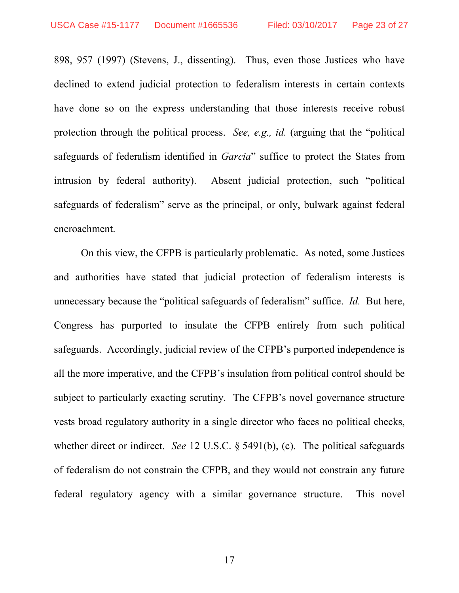898, 957 (1997) (Stevens, J., dissenting). Thus, even those Justices who have declined to extend judicial protection to federalism interests in certain contexts have done so on the express understanding that those interests receive robust protection through the political process. *See, e.g., id.* (arguing that the "political safeguards of federalism identified in *Garcia*" suffice to protect the States from intrusion by federal authority). Absent judicial protection, such "political safeguards of federalism" serve as the principal, or only, bulwark against federal encroachment.

 On this view, the CFPB is particularly problematic. As noted, some Justices and authorities have stated that judicial protection of federalism interests is unnecessary because the "political safeguards of federalism" suffice. *Id.* But here, Congress has purported to insulate the CFPB entirely from such political safeguards. Accordingly, judicial review of the CFPB's purported independence is all the more imperative, and the CFPB's insulation from political control should be subject to particularly exacting scrutiny. The CFPB's novel governance structure vests broad regulatory authority in a single director who faces no political checks, whether direct or indirect. *See* 12 U.S.C. § 5491(b), (c). The political safeguards of federalism do not constrain the CFPB, and they would not constrain any future federal regulatory agency with a similar governance structure. This novel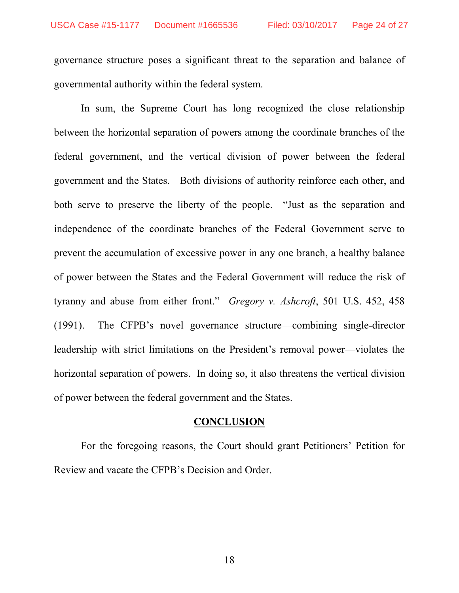governance structure poses a significant threat to the separation and balance of governmental authority within the federal system.

 In sum, the Supreme Court has long recognized the close relationship between the horizontal separation of powers among the coordinate branches of the federal government, and the vertical division of power between the federal government and the States. Both divisions of authority reinforce each other, and both serve to preserve the liberty of the people. "Just as the separation and independence of the coordinate branches of the Federal Government serve to prevent the accumulation of excessive power in any one branch, a healthy balance of power between the States and the Federal Government will reduce the risk of tyranny and abuse from either front." *Gregory v. Ashcroft*, 501 U.S. 452, 458 (1991). The CFPB's novel governance structure—combining single-director leadership with strict limitations on the President's removal power—violates the horizontal separation of powers. In doing so, it also threatens the vertical division of power between the federal government and the States.

## **CONCLUSION**

 For the foregoing reasons, the Court should grant Petitioners' Petition for Review and vacate the CFPB's Decision and Order.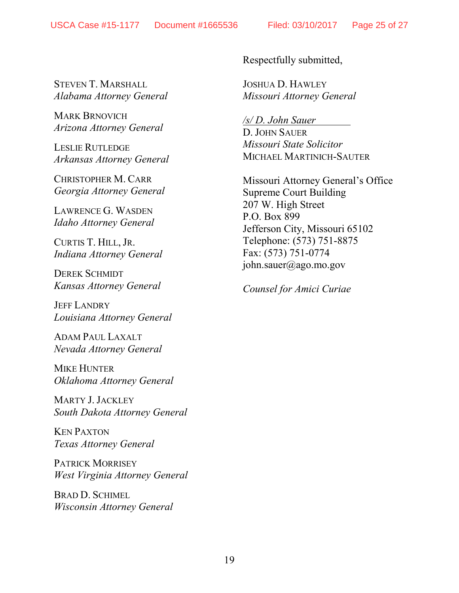STEVEN T. MARSHALL *Alabama Attorney General* 

MARK BRNOVICH *Arizona Attorney General* 

LESLIE RUTLEDGE *Arkansas Attorney General* 

CHRISTOPHER M. CARR *Georgia Attorney General* 

LAWRENCE G. WASDEN *Idaho Attorney General* 

CURTIS T. HILL, JR. *Indiana Attorney General* 

DEREK SCHMIDT *Kansas Attorney General* 

JEFF LANDRY *Louisiana Attorney General* 

ADAM PAUL LAXALT *Nevada Attorney General* 

MIKE HUNTER *Oklahoma Attorney General* 

MARTY J.JACKLEY *South Dakota Attorney General* 

KEN PAXTON *Texas Attorney General*

PATRICK MORRISEY *West Virginia Attorney General* 

BRAD D. SCHIMEL *Wisconsin Attorney General*  Respectfully submitted,

JOSHUA D. HAWLEY *Missouri Attorney General* 

*/s/ D. John Sauer*  D. JOHN SAUER *Missouri State Solicitor* MICHAEL MARTINICH-SAUTER

Missouri Attorney General's Office Supreme Court Building 207 W. High Street P.O. Box 899 Jefferson City, Missouri 65102 Telephone: (573) 751-8875 Fax: (573) 751-0774 john.sauer@ago.mo.gov

*Counsel for Amici Curiae*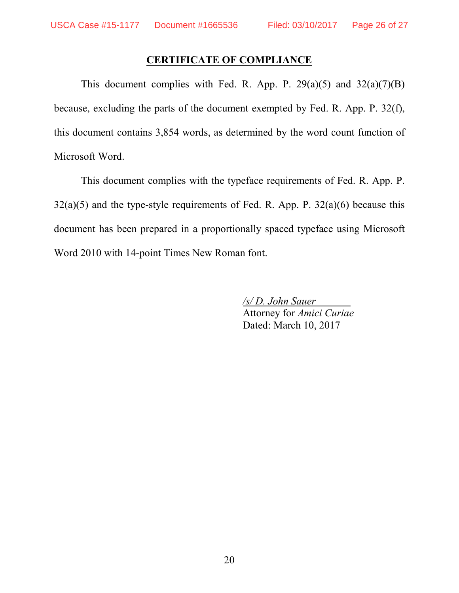## **CERTIFICATE OF COMPLIANCE**

This document complies with Fed. R. App. P.  $29(a)(5)$  and  $32(a)(7)(B)$ because, excluding the parts of the document exempted by Fed. R. App. P. 32(f), this document contains 3,854 words, as determined by the word count function of Microsoft Word.

 This document complies with the typeface requirements of Fed. R. App. P.  $32(a)(5)$  and the type-style requirements of Fed. R. App. P.  $32(a)(6)$  because this document has been prepared in a proportionally spaced typeface using Microsoft Word 2010 with 14-point Times New Roman font.

> */s/ D. John Sauer*  Attorney for *Amici Curiae* Dated: March 10, 2017